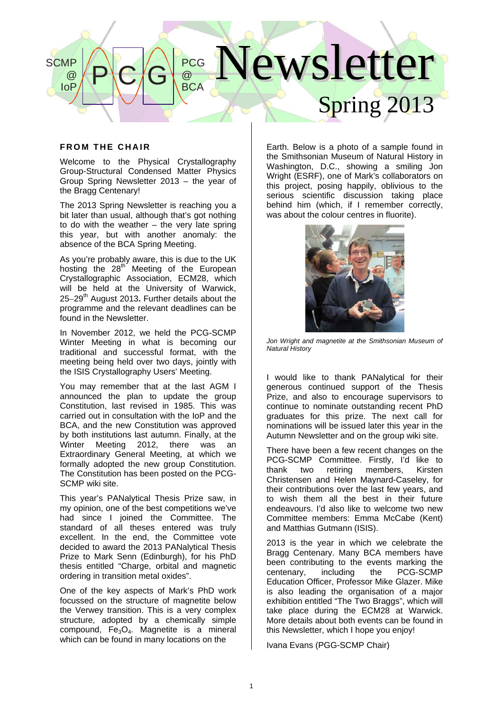

#### **FROM THE CHAIR**

Welcome to the Physical Crystallography Group-Structural Condensed Matter Physics Group Spring Newsletter 2013 – the year of the Bragg Centenary!

The 2013 Spring Newsletter is reaching you a bit later than usual, although that's got nothing to do with the weather  $-$  the very late spring this year, but with another anomaly: the absence of the BCA Spring Meeting.

As you're probably aware, this is due to the UK hosting the  $28<sup>th</sup>$  Meeting of the European Crystallographic Association, ECM28, which will be held at the University of Warwick, 2529th August 2013**.** Further details about the programme and the relevant deadlines can be found in the Newsletter.

In November 2012, we held the PCG-SCMP Winter Meeting in what is becoming our traditional and successful format, with the meeting being held over two days, jointly with the ISIS Crystallography Users' Meeting.

You may remember that at the last AGM I announced the plan to update the group Constitution, last revised in 1985. This was carried out in consultation with the IoP and the BCA, and the new Constitution was approved by both institutions last autumn. Finally, at the Winter Meeting 2012, there was an Extraordinary General Meeting, at which we formally adopted the new group Constitution. The Constitution has been posted on the PCG-SCMP wiki site.

This year's PANalytical Thesis Prize saw, in my opinion, one of the best competitions we've had since I joined the Committee. The standard of all theses entered was truly excellent. In the end, the Committee vote decided to award the 2013 PANalytical Thesis Prize to Mark Senn (Edinburgh), for his PhD thesis entitled "Charge, orbital and magnetic ordering in transition metal oxides".

One of the key aspects of Mark's PhD work focussed on the structure of magnetite below the Verwey transition. This is a very complex structure, adopted by a chemically simple compound,  $Fe<sub>3</sub>O<sub>4</sub>$ . Magnetite is a mineral which can be found in many locations on the

Earth. Below is a photo of a sample found in the Smithsonian Museum of Natural History in Washington, D.C., showing a smiling Jon Wright (ESRF), one of Mark's collaborators on this project, posing happily, oblivious to the serious scientific discussion taking place behind him (which, if I remember correctly, was about the colour centres in fluorite).



*Jon Wright and magnetite at the Smithsonian Museum of Natural History* 

I would like to thank PANalytical for their generous continued support of the Thesis Prize, and also to encourage supervisors to continue to nominate outstanding recent PhD graduates for this prize. The next call for nominations will be issued later this year in the Autumn Newsletter and on the group wiki site.

There have been a few recent changes on the PCG-SCMP Committee. Firstly, I'd like to thank two retiring members, Kirsten Christensen and Helen Maynard-Caseley, for their contributions over the last few years, and to wish them all the best in their future endeavours. I'd also like to welcome two new Committee members: Emma McCabe (Kent) and Matthias Gutmann (ISIS).

2013 is the year in which we celebrate the Bragg Centenary. Many BCA members have been contributing to the events marking the centenary, including the PCG-SCMP Education Officer, Professor Mike Glazer. Mike is also leading the organisation of a major exhibition entitled "The Two Braggs", which will take place during the ECM28 at Warwick. More details about both events can be found in this Newsletter, which I hope you enjoy!

Ivana Evans (PGG-SCMP Chair)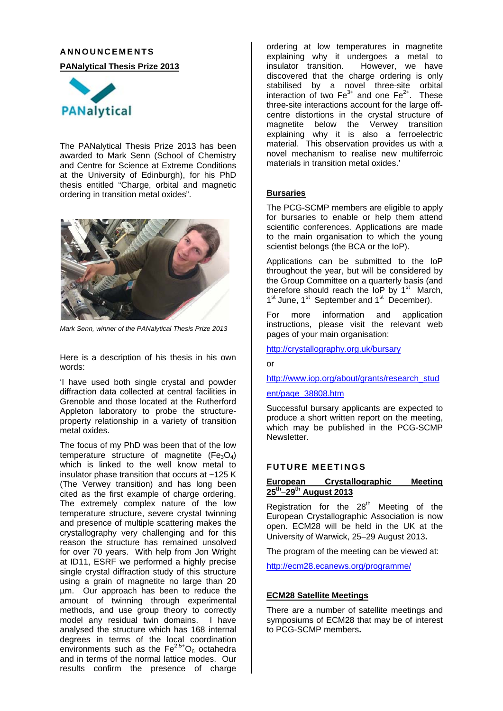# **ANNOUNCEMENTS**

**PANalytical Thesis Prize 2013** 



The PANalytical Thesis Prize 2013 has been awarded to Mark Senn (School of Chemistry and Centre for Science at Extreme Conditions at the University of Edinburgh), for his PhD thesis entitled "Charge, orbital and magnetic ordering in transition metal oxides".



*Mark Senn, winner of the PANalytical Thesis Prize 2013* 

Here is a description of his thesis in his own words:

'I have used both single crystal and powder diffraction data collected at central facilities in Grenoble and those located at the Rutherford Appleton laboratory to probe the structureproperty relationship in a variety of transition metal oxides.

The focus of my PhD was been that of the low temperature structure of magnetite ( $Fe<sub>3</sub>O<sub>4</sub>$ ) which is linked to the well know metal to insulator phase transition that occurs at ~125 K (The Verwey transition) and has long been cited as the first example of charge ordering. The extremely complex nature of the low temperature structure, severe crystal twinning and presence of multiple scattering makes the crystallography very challenging and for this reason the structure has remained unsolved for over 70 years. With help from Jon Wright at ID11, ESRF we performed a highly precise single crystal diffraction study of this structure using a grain of magnetite no large than 20 µm. Our approach has been to reduce the amount of twinning through experimental methods, and use group theory to correctly model any residual twin domains. I have analysed the structure which has 168 internal degrees in terms of the local coordination environments such as the  $Fe<sup>2.5+</sup>O<sub>6</sub>$  octahedra and in terms of the normal lattice modes. Our results confirm the presence of charge

ordering at low temperatures in magnetite explaining why it undergoes a metal to insulator transition. However, we have discovered that the charge ordering is only stabilised by a novel three-site orbital interaction of two  $Fe^{3+}$  and one  $Fe^{2+}$ . These three-site interactions account for the large offcentre distortions in the crystal structure of magnetite below the Verwey transition explaining why it is also a ferroelectric material. This observation provides us with a novel mechanism to realise new multiferroic materials in transition metal oxides.'

# **Bursaries**

The PCG-SCMP members are eligible to apply for bursaries to enable or help them attend scientific conferences. Applications are made to the main organisation to which the young scientist belongs (the BCA or the IoP).

Applications can be submitted to the IoP throughout the year, but will be considered by the Group Committee on a quarterly basis (and therefore should reach the  $IOP$  by  $1<sup>st</sup>$  March, 1<sup>st</sup> June, 1<sup>st</sup> September and 1<sup>st</sup> December).

For more information and application instructions, please visit the relevant web pages of your main organisation:

http://crystallography.org.uk/bursary

or

http://www.iop.org/about/grants/research\_stud

# ent/page\_38808.htm

Successful bursary applicants are expected to produce a short written report on the meeting, which may be published in the PCG-SCMP Newsletter.

#### **FUTURE MEETINGS**

## **European Crystallographic Meeting 25th29th August 2013**

Registration for the  $28<sup>th</sup>$  Meeting of the European Crystallographic Association is now open. ECM28 will be held in the UK at the University of Warwick, 2529 August 2013**.** 

The program of the meeting can be viewed at:

http://ecm28.ecanews.org/programme/

## **ECM28 Satellite Meetings**

There are a number of satellite meetings and symposiums of ECM28 that may be of interest to PCG-SCMP members**.**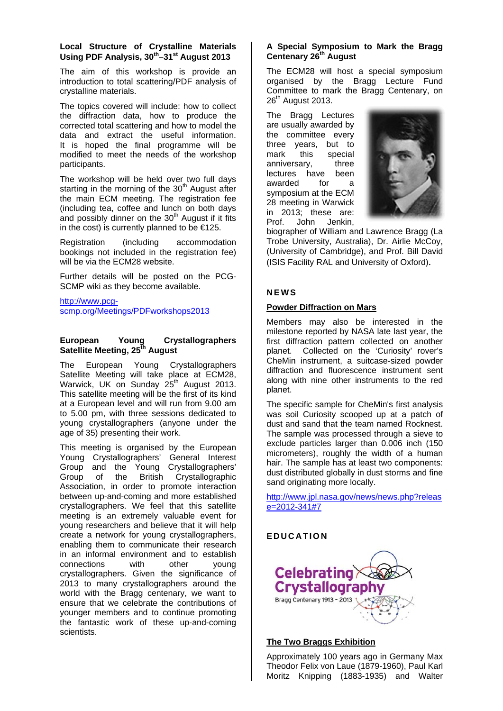## **Local Structure of Crystalline Materials Using PDF Analysis, 30th31st August 2013**

The aim of this workshop is provide an introduction to total scattering/PDF analysis of crystalline materials.

The topics covered will include: how to collect the diffraction data, how to produce the corrected total scattering and how to model the data and extract the useful information. It is hoped the final programme will be modified to meet the needs of the workshop participants.

The workshop will be held over two full days starting in the morning of the 30<sup>th</sup> August after the main ECM meeting. The registration fee (including tea, coffee and lunch on both days and possibly dinner on the  $30<sup>th</sup>$  August if it fits in the cost) is currently planned to be  $€125$ .

Registration (including accommodation bookings not included in the registration fee) will be via the ECM28 website.

Further details will be posted on the PCG-SCMP wiki as they become available.

http://www.pcgscmp.org/Meetings/PDFworkshops2013

## **European Young Crystallographers**  Satellite Meeting, 25<sup>th</sup> August

The European Young Crystallographers Satellite Meeting will take place at ECM28, Salemie Meeting with take place of  $25^{th}$  August 2013. This satellite meeting will be the first of its kind at a European level and will run from 9.00 am to 5.00 pm, with three sessions dedicated to young crystallographers (anyone under the age of 35) presenting their work.

This meeting is organised by the European Young Crystallographers' General Interest Group and the Young Crystallographers' Group of the British Crystallographic Association, in order to promote interaction between up-and-coming and more established crystallographers. We feel that this satellite meeting is an extremely valuable event for young researchers and believe that it will help create a network for young crystallographers, enabling them to communicate their research in an informal environment and to establish connections with other young crystallographers. Given the significance of 2013 to many crystallographers around the world with the Bragg centenary, we want to ensure that we celebrate the contributions of younger members and to continue promoting the fantastic work of these up-and-coming scientists.

## **A Special Symposium to Mark the Bragg Centenary 26<sup>th</sup> August**

The ECM28 will host a special symposium organised by the Bragg Lecture Fund Committee to mark the Bragg Centenary, on  $26<sup>th</sup>$  August 2013.

The Bragg Lectures are usually awarded by the committee every three years, but to mark this special anniversary, three lectures have been awarded for a symposium at the ECM 28 meeting in Warwick in 2013; these are: Prof. John Jenkin,



biographer of William and Lawrence Bragg (La Trobe University, Australia), Dr. Airlie McCoy, (University of Cambridge), and Prof. Bill David (ISIS Facility RAL and University of Oxford).

# **NEWS**

# **Powder Diffraction on Mars**

Members may also be interested in the milestone reported by NASA late last year, the first diffraction pattern collected on another planet. Collected on the 'Curiosity' rover's CheMin instrument, a suitcase-sized powder diffraction and fluorescence instrument sent along with nine other instruments to the red planet.

The specific sample for CheMin's first analysis was soil Curiosity scooped up at a patch of dust and sand that the team named Rocknest. The sample was processed through a sieve to exclude particles larger than 0.006 inch (150 micrometers), roughly the width of a human hair. The sample has at least two components: dust distributed globally in dust storms and fine sand originating more locally.

http://www.jpl.nasa.gov/news/news.php?releas e=2012-341#7

# **EDUCATION**



# **The Two Braggs Exhibition**

Approximately 100 years ago in Germany Max Theodor Felix von Laue (1879-1960), Paul Karl Moritz Knipping (1883-1935) and Walter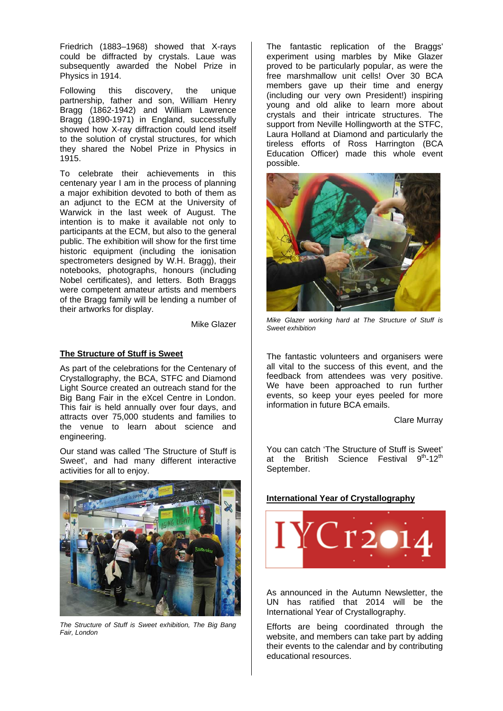Friedrich (1883–1968) showed that X-rays could be diffracted by crystals. Laue was subsequently awarded the Nobel Prize in Physics in 1914.

Following this discovery, the unique partnership, father and son, William Henry Bragg (1862-1942) and William Lawrence Bragg (1890-1971) in England, successfully showed how X-ray diffraction could lend itself to the solution of crystal structures, for which they shared the Nobel Prize in Physics in 1915.

To celebrate their achievements in this centenary year I am in the process of planning a major exhibition devoted to both of them as an adjunct to the ECM at the University of Warwick in the last week of August. The intention is to make it available not only to participants at the ECM, but also to the general public. The exhibition will show for the first time historic equipment (including the ionisation spectrometers designed by W.H. Bragg), their notebooks, photographs, honours (including Nobel certificates), and letters. Both Braggs were competent amateur artists and members of the Bragg family will be lending a number of their artworks for display.

Mike Glazer

## **The Structure of Stuff is Sweet**

As part of the celebrations for the Centenary of Crystallography, the BCA, STFC and Diamond Light Source created an outreach stand for the Big Bang Fair in the eXcel Centre in London. This fair is held annually over four days, and attracts over 75,000 students and families to the venue to learn about science and engineering.

Our stand was called 'The Structure of Stuff is Sweet', and had many different interactive activities for all to enjoy.



*The Structure of Stuff is Sweet exhibition, The Big Bang Fair, London* 

The fantastic replication of the Braggs' experiment using marbles by Mike Glazer proved to be particularly popular, as were the free marshmallow unit cells! Over 30 BCA members gave up their time and energy (including our very own President!) inspiring young and old alike to learn more about crystals and their intricate structures. The support from Neville Hollingworth at the STFC, Laura Holland at Diamond and particularly the tireless efforts of Ross Harrington (BCA Education Officer) made this whole event possible.



*Mike Glazer working hard at The Structure of Stuff is Sweet exhibition* 

The fantastic volunteers and organisers were all vital to the success of this event, and the feedback from attendees was very positive. We have been approached to run further events, so keep your eyes peeled for more information in future BCA emails.

Clare Murray

You can catch 'The Structure of Stuff is Sweet' at the British Science Festival  $9^{th}$ -12<sup>th</sup> September.

#### **International Year of Crystallography**

![](_page_3_Picture_16.jpeg)

As announced in the Autumn Newsletter, the UN has ratified that 2014 will be the International Year of Crystallography.

Efforts are being coordinated through the website, and members can take part by adding their events to the calendar and by contributing educational resources.